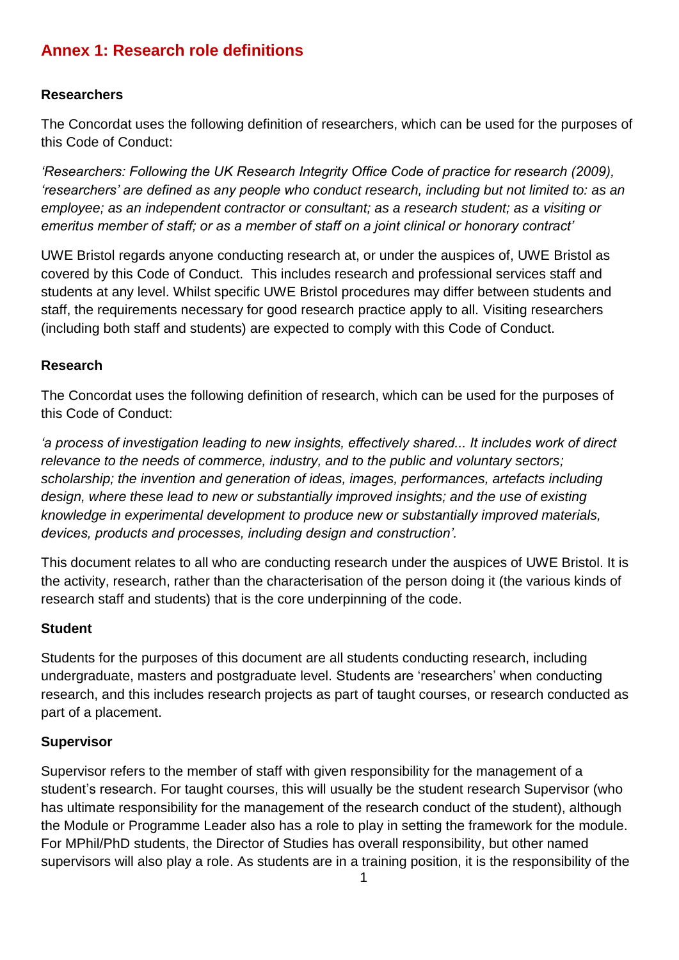# **Annex 1: Research role definitions**

## **Researchers**

The Concordat uses the following definition of researchers, which can be used for the purposes of this Code of Conduct:

*'Researchers: Following the UK Research Integrity Office Code of practice for research (2009), 'researchers' are defined as any people who conduct research, including but not limited to: as an employee; as an independent contractor or consultant; as a research student; as a visiting or emeritus member of staff; or as a member of staff on a joint clinical or honorary contract'*

UWE Bristol regards anyone conducting research at, or under the auspices of, UWE Bristol as covered by this Code of Conduct. This includes research and professional services staff and students at any level. Whilst specific UWE Bristol procedures may differ between students and staff, the requirements necessary for good research practice apply to all. Visiting researchers (including both staff and students) are expected to comply with this Code of Conduct.

### **Research**

The Concordat uses the following definition of research, which can be used for the purposes of this Code of Conduct:

*'a process of investigation leading to new insights, effectively shared... It includes work of direct relevance to the needs of commerce, industry, and to the public and voluntary sectors; scholarship; the invention and generation of ideas, images, performances, artefacts including design, where these lead to new or substantially improved insights; and the use of existing knowledge in experimental development to produce new or substantially improved materials, devices, products and processes, including design and construction'.*

This document relates to all who are conducting research under the auspices of UWE Bristol. It is the activity, research, rather than the characterisation of the person doing it (the various kinds of research staff and students) that is the core underpinning of the code.

#### **Student**

Students for the purposes of this document are all students conducting research, including undergraduate, masters and postgraduate level. Students are 'researchers' when conducting research, and this includes research projects as part of taught courses, or research conducted as part of a placement.

#### **Supervisor**

Supervisor refers to the member of staff with given responsibility for the management of a student's research. For taught courses, this will usually be the student research Supervisor (who has ultimate responsibility for the management of the research conduct of the student), although the Module or Programme Leader also has a role to play in setting the framework for the module. For MPhil/PhD students, the Director of Studies has overall responsibility, but other named supervisors will also play a role. As students are in a training position, it is the responsibility of the